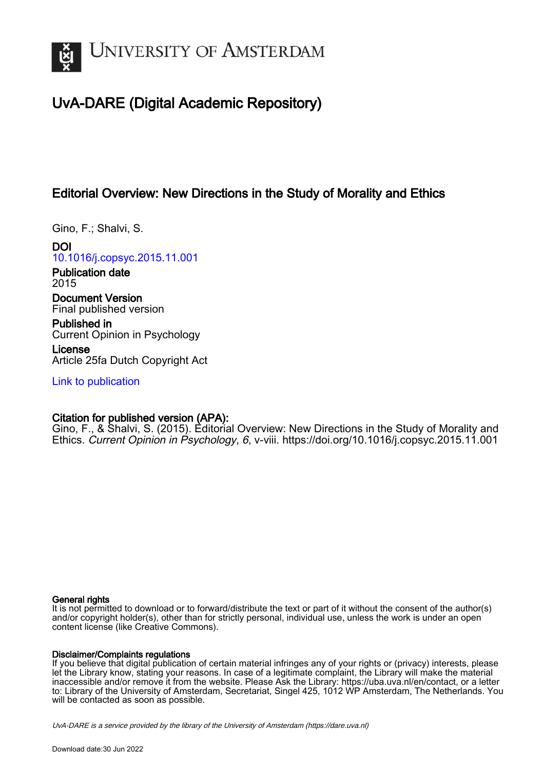

## UvA-DARE (Digital Academic Repository)

## Editorial Overview: New Directions in the Study of Morality and Ethics

Gino, F.; Shalvi, S.

DOI [10.1016/j.copsyc.2015.11.001](https://doi.org/10.1016/j.copsyc.2015.11.001)

Publication date 2015

Document Version Final published version

Published in Current Opinion in Psychology

License Article 25fa Dutch Copyright Act

[Link to publication](https://dare.uva.nl/personal/pure/en/publications/editorial-overview-new-directions-in-the-study-of-morality-and-ethics(10b39090-6f6f-46b7-a4cb-3010bf4282ee).html)

### Citation for published version (APA):

Gino, F., & Shalvi, S. (2015). Editorial Overview: New Directions in the Study of Morality and Ethics. Current Opinion in Psychology, 6, v-viii. <https://doi.org/10.1016/j.copsyc.2015.11.001>

#### General rights

It is not permitted to download or to forward/distribute the text or part of it without the consent of the author(s) and/or copyright holder(s), other than for strictly personal, individual use, unless the work is under an open content license (like Creative Commons).

#### Disclaimer/Complaints regulations

If you believe that digital publication of certain material infringes any of your rights or (privacy) interests, please let the Library know, stating your reasons. In case of a legitimate complaint, the Library will make the material inaccessible and/or remove it from the website. Please Ask the Library: https://uba.uva.nl/en/contact, or a letter to: Library of the University of Amsterdam, Secretariat, Singel 425, 1012 WP Amsterdam, The Netherlands. You will be contacted as soon as possible.

UvA-DARE is a service provided by the library of the University of Amsterdam (http*s*://dare.uva.nl)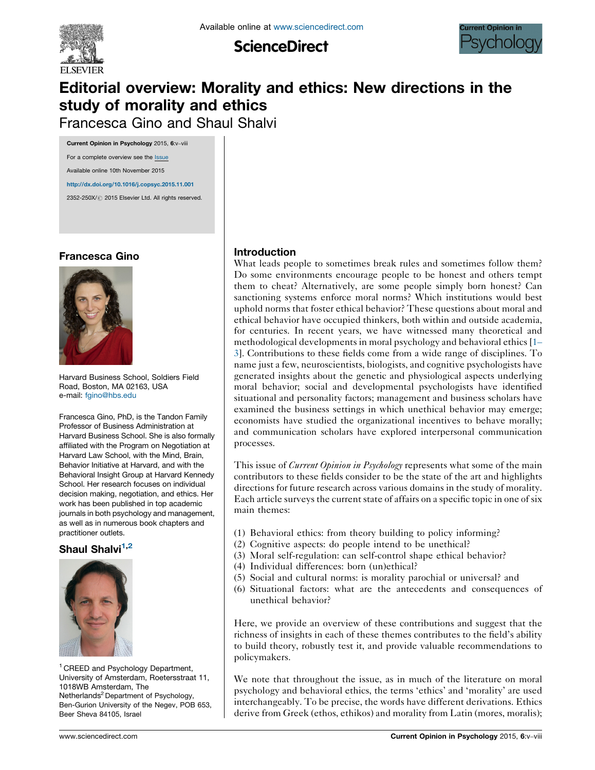

**ScienceDirect** 



# Editorial overview: Morality and ethics: New directions in the study of morality and ethics

Francesca Gino and Shaul Shalvi

Current Opinion in Psychology 2015, 6:v–viii For a complete overview see the [Issue](http://www.sciencedirect.com/science/journal/2352250X/6) Available online 10th November 2015 <http://dx.doi.org/10.1016/j.copsyc.2015.11.001>

2352-250X/ @ 2015 Elsevier Ltd. All rights reserved.

### Francesca Gino



Harvard Business School, Soldiers Field Road, Boston, MA 02163, USA e-mail: [fgino@hbs.edu](mailto:fgino@hbs.edu)

Francesca Gino, PhD, is the Tandon Family Professor of Business Administration at Harvard Business School. She is also formally affiliated with the Program on Negotiation at Harvard Law School, with the Mind, Brain, Behavior Initiative at Harvard, and with the Behavioral Insight Group at Harvard Kennedy School. Her research focuses on individual decision making, negotiation, and ethics. Her work has been published in top academic journals in both psychology and management, as well as in numerous book chapters and practitioner outlets.

#### Shaul Shalvi<sup>1,2</sup>



<sup>1</sup> CREED and Psychology Department, University of Amsterdam, Roetersstraat 11, 1018WB Amsterdam, The Netherlands<sup>2</sup> Department of Psychology, Ben-Gurion University of the Negev, POB 653, Beer Sheva 84105, Israel

#### Introduction

What leads people to sometimes break rules and sometimes follow them? Do some environments encourage people to be honest and others tempt them to cheat? Alternatively, are some people simply born honest? Can sanctioning systems enforce moral norms? Which institutions would best uphold norms that foster ethical behavior? These questions about moral and ethical behavior have occupied thinkers, both within and outside academia, for centuries. In recent years, we have witnessed many theoretical and methodological developments in moral psychology and behavioral ethics [\[1](#page-4-0)– [3\]](#page-4-0). Contributions to these fields come from a wide range of disciplines. To name just a few, neuroscientists, biologists, and cognitive psychologists have generated insights about the genetic and physiological aspects underlying moral behavior; social and developmental psychologists have identified situational and personality factors; management and business scholars have examined the business settings in which unethical behavior may emerge; economists have studied the organizational incentives to behave morally; and communication scholars have explored interpersonal communication processes.

This issue of *Current Opinion in Psychology* represents what some of the main contributors to these fields consider to be the state of the art and highlights directions for future research across various domains in the study of morality. Each article surveys the current state of affairs on a specific topic in one of six main themes:

- (1) Behavioral ethics: from theory building to policy informing?
- (2) Cognitive aspects: do people intend to be unethical?
- (3) Moral self-regulation: can self-control shape ethical behavior?
- (4) Individual differences: born (un)ethical?
- (5) Social and cultural norms: is morality parochial or universal? and
- (6) Situational factors: what are the antecedents and consequences of unethical behavior?

Here, we provide an overview of these contributions and suggest that the richness of insights in each of these themes contributes to the field's ability to build theory, robustly test it, and provide valuable recommendations to policymakers.

We note that throughout the issue, as in much of the literature on moral psychology and behavioral ethics, the terms 'ethics' and 'morality' are used interchangeably. To be precise, the words have different derivations. Ethics derive from Greek (ethos, ethikos) and morality from Latin (mores, moralis);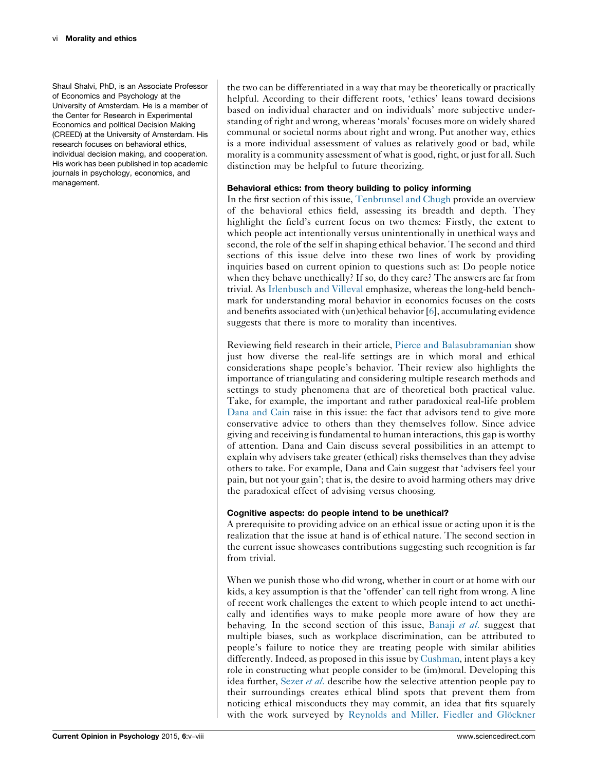Shaul Shalvi, PhD, is an Associate Professor of Economics and Psychology at the University of Amsterdam. He is a member of the Center for Research in Experimental Economics and political Decision Making (CREED) at the University of Amsterdam. His research focuses on behavioral ethics, individual decision making, and cooperation. His work has been published in top academic journals in psychology, economics, and management.

the two can be differentiated in a way that may be theoretically or practically helpful. According to their different roots, 'ethics' leans toward decisions based on individual character and on individuals' more subjective understanding of right and wrong, whereas 'morals' focuses more on widely shared communal or societal norms about right and wrong. Put another way, ethics is a more individual assessment of values as relatively good or bad, while morality is a community assessment of what is good, right, or just for all. Such distinction may be helpful to future theorizing.

#### Behavioral ethics: from theory building to policy informing

In the first section of this issue, [Tenbrunsel](http://dx.doi.org/10.1016/j.copsyc.2015.08.022) and Chugh provide an overview of the behavioral ethics field, assessing its breadth and depth. They highlight the field's current focus on two themes: Firstly, the extent to which people act intentionally versus unintentionally in unethical ways and second, the role of the self in shaping ethical behavior. The second and third sections of this issue delve into these two lines of work by providing inquiries based on current opinion to questions such as: Do people notice when they behave unethically? If so, do they care? The answers are far from trivial. As [Irlenbusch](http://dx.doi.org/10.1016/j.copsyc.2015.04.004) and Villeval emphasize, whereas the long-held benchmark for understanding moral behavior in economics focuses on the costs and benefits associated with (un)ethical behavior [[6\]](#page-4-0), accumulating evidence suggests that there is more to morality than incentives.

Reviewing field research in their article, Pierce and [Balasubramanian](http://dx.doi.org/10.1016/j.copsyc.2015.04.002) show just how diverse the real-life settings are in which moral and ethical considerations shape people's behavior. Their review also highlights the importance of triangulating and considering multiple research methods and settings to study phenomena that are of theoretical both practical value. Take, for example, the important and rather paradoxical real-life problem [Dana](http://dx.doi.org/10.1016/j.copsyc.2015.08.019) and Cain raise in this issue: the fact that advisors tend to give more conservative advice to others than they themselves follow. Since advice giving and receiving isfundamental to human interactions, this gap is worthy of attention. Dana and Cain discuss several possibilities in an attempt to explain why advisers take greater (ethical) risks themselves than they advise others to take. For example, Dana and Cain suggest that 'advisers feel your pain, but not your gain'; that is, the desire to avoid harming others may drive the paradoxical effect of advising versus choosing.

#### Cognitive aspects: do people intend to be unethical?

A prerequisite to providing advice on an ethical issue or acting upon it is the realization that the issue at hand is of ethical nature. The second section in the current issue showcases contributions suggesting such recognition is far from trivial.

When we punish those who did wrong, whether in court or at home with our kids, a key assumption is that the 'offender' can tell right from wrong. A line of recent work challenges the extent to which people intend to act unethically and identifies ways to make people more aware of how they are behaving. In the second section of this issue, [Banaji](http://dx.doi.org/10.1016/j.copsyc.2015.08.017) et al. suggest that multiple biases, such as workplace discrimination, can be attributed to people's failure to notice they are treating people with similar abilities differently. Indeed, as proposed in this issue by [Cushman](http://dx.doi.org/10.1016/j.copsyc.2015.06.003), intent plays a key role in constructing what people consider to be (im)moral. Developing this idea further, [Sezer](http://dx.doi.org/10.1016/j.copsyc.2015.03.030) et al. describe how the selective attention people pay to their surroundings creates ethical blind spots that prevent them from noticing ethical misconducts they may commit, an idea that fits squarely with the work surveyed by [Reynolds](http://dx.doi.org/10.1016/j.copsyc.2015.07.007) and Miller. Fiedler and Glöckner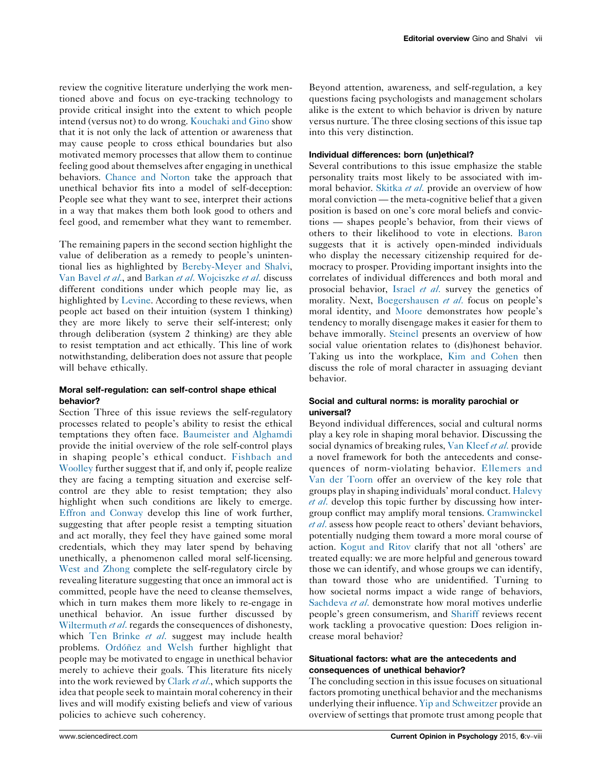review the cognitive literature underlying the work mentioned above and focus on eye-tracking technology to provide critical insight into the extent to which people intend (versus not) to do wrong. [Kouchaki](http://dx.doi.org/10.1016/j.copsyc.2015.04.003) and Gino show that it is not only the lack of attention or awareness that may cause people to cross ethical boundaries but also motivated memory processes that allow them to continue feeling good about themselves after engaging in unethical behaviors. [Chance](http://dx.doi.org/10.1016/j.copsyc.2015.07.008) and Norton take the approach that unethical behavior fits into a model of self-deception: People see what they want to see, interpret their actions in a way that makes them both look good to others and feel good, and remember what they want to remember.

The remaining papers in the second section highlight the value of deliberation as a remedy to people's unintentional lies as highlighted by [Bereby-Meyer](http://dx.doi.org/10.1016/j.copsyc.2015.09.004) and Shalvi, Van [Bavel](http://dx.doi.org/10.1016/j.copsyc.2015.08.009) et al., and [Barkan](http://dx.doi.org/10.1016/j.copsyc.2015.08.001) et al. [Wojciszke](http://dx.doi.org/10.1016/j.copsyc.2015.03.028) et al. discuss different conditions under which people may lie, as highlighted by [Levine](http://dx.doi.org/10.1016/j.copsyc.2015.03.003). According to these reviews, when people act based on their intuition (system 1 thinking) they are more likely to serve their self-interest; only through deliberation (system 2 thinking) are they able to resist temptation and act ethically. This line of work notwithstanding, deliberation does not assure that people will behave ethically.

#### Moral self-regulation: can self-control shape ethical behavior?

Section Three of this issue reviews the self-regulatory processes related to people's ability to resist the ethical temptations they often face. [Baumeister](http://dx.doi.org/10.1016/j.copsyc.2015.04.001) and Alghamdi provide the initial overview of the role self-control plays in shaping people's ethical conduct. [Fishbach](http://dx.doi.org/10.1016/j.copsyc.2015.03.019) and [Woolley](http://dx.doi.org/10.1016/j.copsyc.2015.03.019) further suggest that if, and only if, people realize they are facing a tempting situation and exercise selfcontrol are they able to resist temptation; they also highlight when such conditions are likely to emerge. Effron and [Conway](http://dx.doi.org/10.1016/j.copsyc.2015.03.017) develop this line of work further, suggesting that after people resist a tempting situation and act morally, they feel they have gained some moral credentials, which they may later spend by behaving unethically, a phenomenon called moral self-licensing. West and [Zhong](http://dx.doi.org/10.1016/j.copsyc.2015.09.022) complete the self-regulatory circle by revealing literature suggesting that once an immoral act is committed, people have the need to cleanse themselves, which in turn makes them more likely to re-engage in unethical behavior. An issue further discussed by [Wiltermuth](http://dx.doi.org/10.1016/j.copsyc.2015.03.016) *et al.* regards the consequences of dishonesty, which Ten [Brinke](http://dx.doi.org/10.1016/j.copsyc.2015.08.004) et al. suggest may include health problems. Ordóñez and Welsh further highlight that people may be motivated to engage in unethical behavior merely to achieve their goals. This literature fits nicely into the work reviewed by [Clark](http://dx.doi.org/10.1016/j.copsyc.2015.07.016) et al., which supports the idea that people seek to maintain moral coherency in their lives and will modify existing beliefs and view of various policies to achieve such coherency.

Beyond attention, awareness, and self-regulation, a key questions facing psychologists and management scholars alike is the extent to which behavior is driven by nature versus nurture. The three closing sections of this issue tap into this very distinction.

#### Individual differences: born (un)ethical?

Several contributions to this issue emphasize the stable personality traits most likely to be associated with im-moral behavior. [Skitka](http://dx.doi.org/10.1016/j.copsyc.2015.03.025) et al. provide an overview of how moral conviction — the meta-cognitive belief that a given position is based on one's core moral beliefs and convictions — shapes people's behavior, from their views of others to their likelihood to vote in elections. [Baron](http://dx.doi.org/10.1016/j.copsyc.2015.03.010) suggests that it is actively open-minded individuals who display the necessary citizenship required for democracy to prosper. Providing important insights into the correlates of individual differences and both moral and prosocial behavior, [Israel](http://dx.doi.org/10.1016/j.copsyc.2015.03.027) et al. survey the genetics of morality. Next, [Boegershausen](http://dx.doi.org/10.1016/j.copsyc.2015.07.017) et al. focus on people's moral identity, and [Moore](http://dx.doi.org/10.1016/j.copsyc.2015.07.018) demonstrates how people's tendency to morally disengage makes it easier for them to behave immorally. [Steinel](http://dx.doi.org/10.1016/j.copsyc.2015.09.016) presents an overview of how social value orientation relates to (dis)honest behavior. Taking us into the workplace, Kim and [Cohen](http://dx.doi.org/10.1016/j.copsyc.2015.08.002) then discuss the role of moral character in assuaging deviant behavior.

#### Social and cultural norms: is morality parochial or universal?

Beyond individual differences, social and cultural norms play a key role in shaping moral behavior. Discussing the social dynamics of breaking rules, Van [Kleef](http://dx.doi.org/10.1016/j.copsyc.2015.03.013) et al. provide a novel framework for both the antecedents and consequences of norm-violating behavior. [Ellemers](http://dx.doi.org/10.1016/j.copsyc.2015.08.018) and Van der [Toorn](http://dx.doi.org/10.1016/j.copsyc.2015.08.018) offer an overview of the key role that groups play in shaping individuals' moral conduct. [Halevy](http://dx.doi.org/10.1016/j.copsyc.2015.03.006) et [al](http://dx.doi.org/10.1016/j.copsyc.2015.03.006). develop this topic further by discussing how intergroup conflict may amplify moral tensions. [Cramwinckel](http://dx.doi.org/10.1016/j.copsyc.2015.08.007) et [al](http://dx.doi.org/10.1016/j.copsyc.2015.08.007). assess how people react to others' deviant behaviors, potentially nudging them toward a more moral course of action. [Kogut](http://dx.doi.org/10.1016/j.copsyc.2015.08.005) and Ritov clarify that not all 'others' are treated equally: we are more helpful and generous toward those we can identify, and whose groups we can identify, than toward those who are unidentified. Turning to how societal norms impact a wide range of behaviors, [Sachdeva](http://dx.doi.org/10.1016/j.copsyc.2015.03.029) et al. demonstrate how moral motives underlie people's green consumerism, and [Shariff](http://dx.doi.org/10.1016/j.copsyc.2015.07.009) reviews recent work tackling a provocative question: Does religion increase moral behavior?

#### Situational factors: what are the antecedents and consequences of unethical behavior?

The concluding section in this issue focuses on situational factors promoting unethical behavior and the mechanisms underlying their influence. Yip and [Schweitzer](http://dx.doi.org/10.1016/j.copsyc.2015.09.017) provide an overview of settings that promote trust among people that